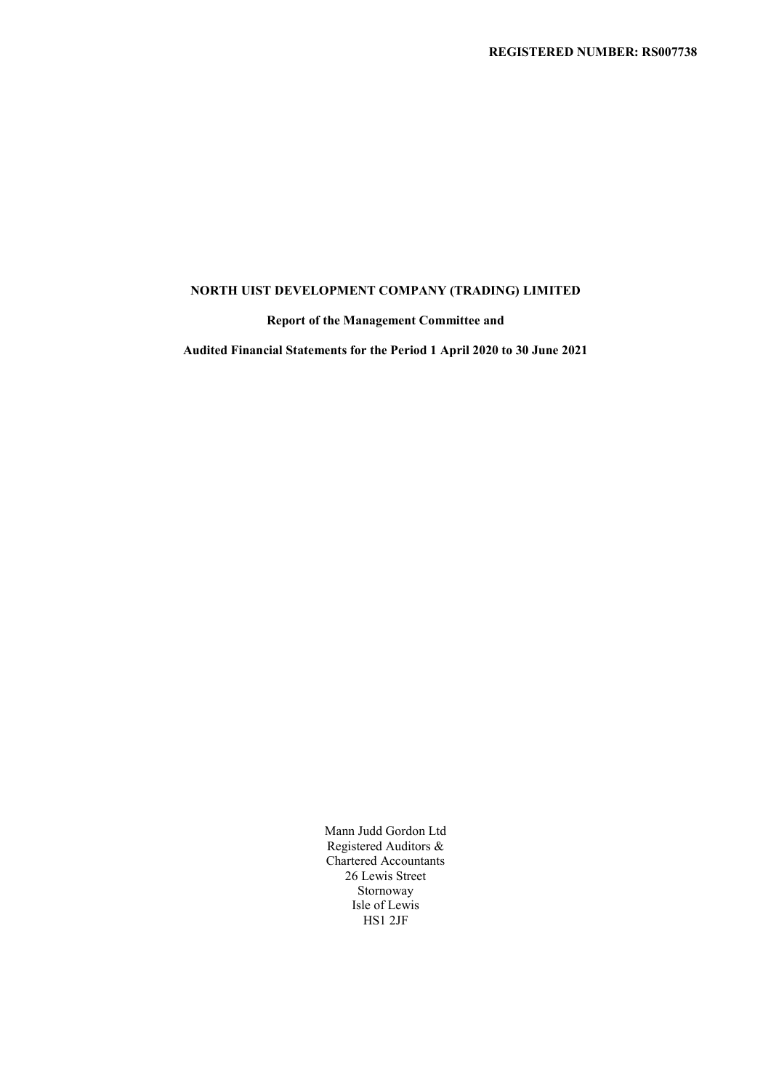Report of the Management Committee and

Audited Financial Statements for the Period 1 April 2020 to 30 June 2021

 Mann Judd Gordon Ltd Registered Auditors & Chartered Accountants 26 Lewis Street Stornoway Isle of Lewis HS1 2JF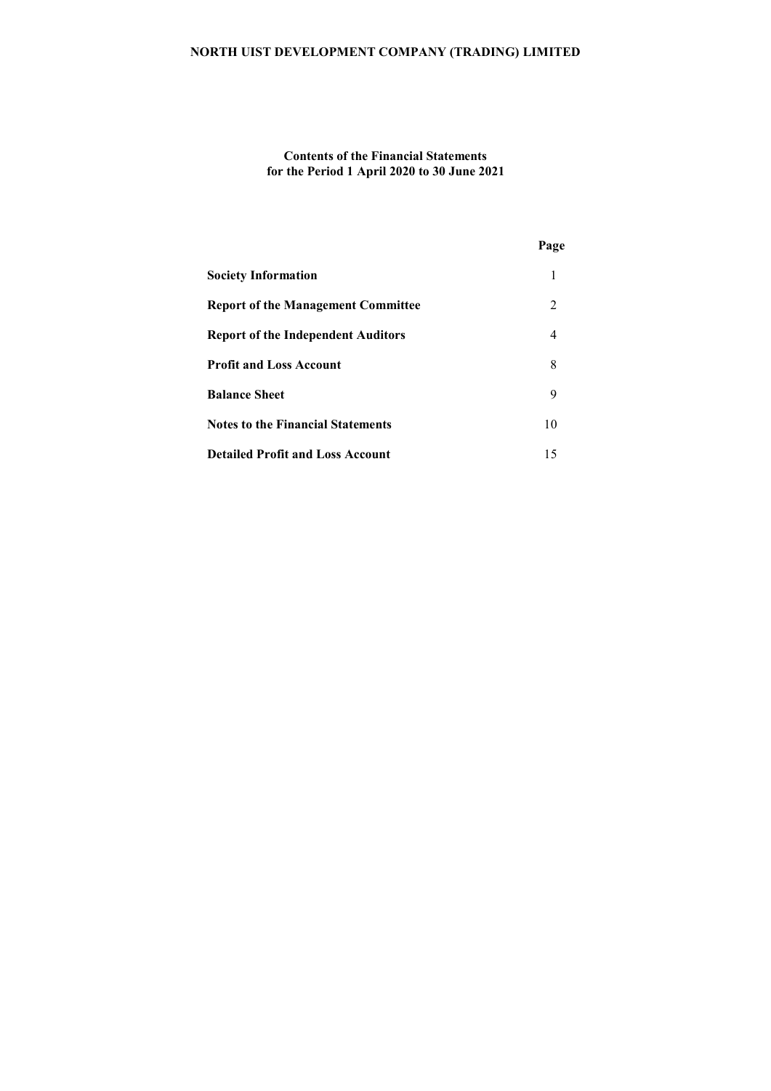# Contents of the Financial Statements for the Period 1 April 2020 to 30 June 2021

|                                           | Page           |
|-------------------------------------------|----------------|
| <b>Society Information</b>                |                |
| <b>Report of the Management Committee</b> | 2              |
| <b>Report of the Independent Auditors</b> | $\overline{4}$ |
| <b>Profit and Loss Account</b>            | 8              |
| <b>Balance Sheet</b>                      | 9              |
| <b>Notes to the Financial Statements</b>  | 10             |
| <b>Detailed Profit and Loss Account</b>   | 15             |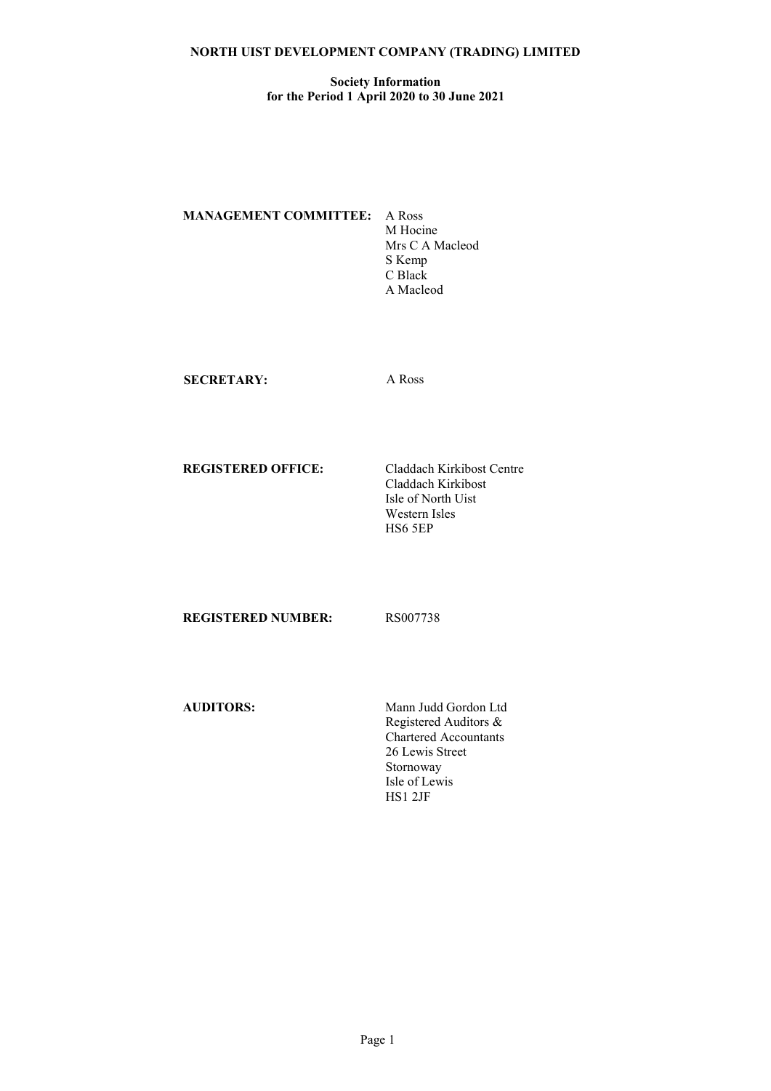#### Society Information for the Period 1 April 2020 to 30 June 2021

# MANAGEMENT COMMITTEE: A Ross

 M Hocine Mrs C A Macleod S Kemp C Black A Macleod

SECRETARY: A Ross

REGISTERED OFFICE: Claddach Kirkibost Centre

 Claddach Kirkibost Isle of North Uist Western Isles HS6 5EP

REGISTERED NUMBER: RS007738

AUDITORS: Mann Judd Gordon Ltd Registered Auditors & Chartered Accountants 26 Lewis Street Stornoway Isle of Lewis HS1 2JF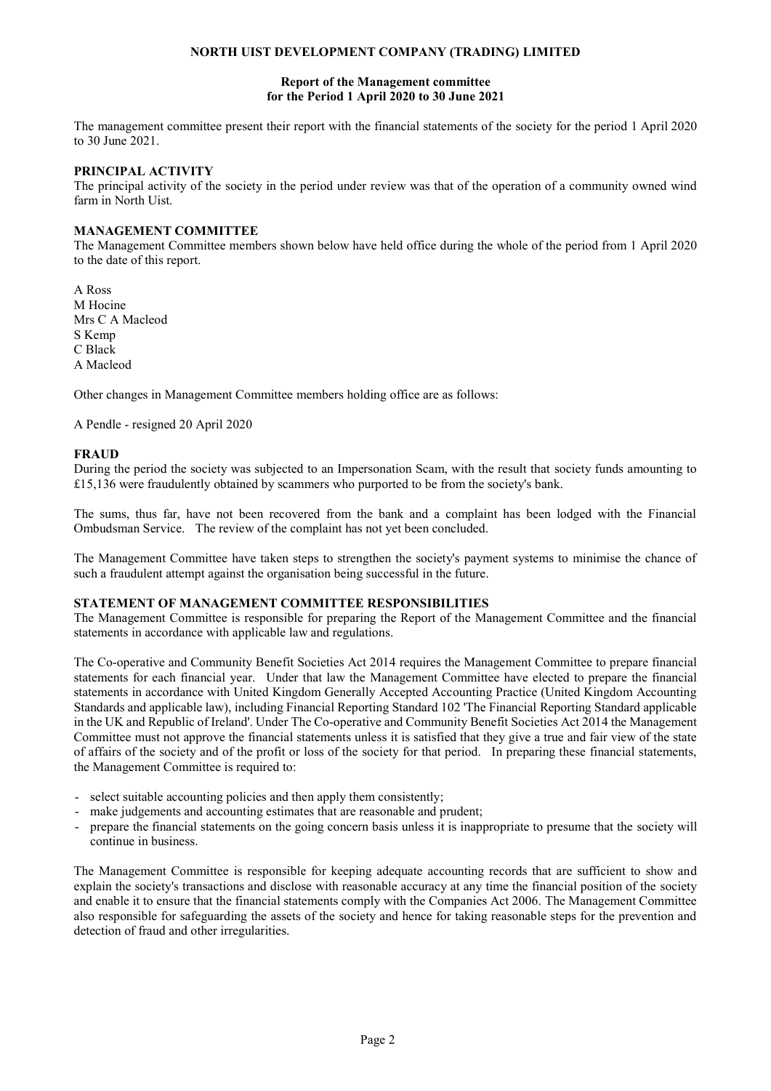#### Report of the Management committee for the Period 1 April 2020 to 30 June 2021

The management committee present their report with the financial statements of the society for the period 1 April 2020 to 30 June 2021.

# PRINCIPAL ACTIVITY

The principal activity of the society in the period under review was that of the operation of a community owned wind farm in North Uist.

## MANAGEMENT COMMITTEE

The Management Committee members shown below have held office during the whole of the period from 1 April 2020 to the date of this report.

A Ross M Hocine Mrs C A Macleod S Kemp C Black A Macleod

Other changes in Management Committee members holding office are as follows:

A Pendle - resigned 20 April 2020

#### FRAUD

During the period the society was subjected to an Impersonation Scam, with the result that society funds amounting to £15,136 were fraudulently obtained by scammers who purported to be from the society's bank.

The sums, thus far, have not been recovered from the bank and a complaint has been lodged with the Financial Ombudsman Service. The review of the complaint has not yet been concluded.

The Management Committee have taken steps to strengthen the society's payment systems to minimise the chance of such a fraudulent attempt against the organisation being successful in the future.

#### STATEMENT OF MANAGEMENT COMMITTEE RESPONSIBILITIES

The Management Committee is responsible for preparing the Report of the Management Committee and the financial statements in accordance with applicable law and regulations.

The Co-operative and Community Benefit Societies Act 2014 requires the Management Committee to prepare financial statements for each financial year. Under that law the Management Committee have elected to prepare the financial statements in accordance with United Kingdom Generally Accepted Accounting Practice (United Kingdom Accounting Standards and applicable law), including Financial Reporting Standard 102 'The Financial Reporting Standard applicable in the UK and Republic of Ireland'. Under The Co-operative and Community Benefit Societies Act 2014 the Management Committee must not approve the financial statements unless it is satisfied that they give a true and fair view of the state of affairs of the society and of the profit or loss of the society for that period. In preparing these financial statements, the Management Committee is required to:

- select suitable accounting policies and then apply them consistently;
- make judgements and accounting estimates that are reasonable and prudent;
- prepare the financial statements on the going concern basis unless it is inappropriate to presume that the society will continue in business.

The Management Committee is responsible for keeping adequate accounting records that are sufficient to show and explain the society's transactions and disclose with reasonable accuracy at any time the financial position of the society and enable it to ensure that the financial statements comply with the Companies Act 2006. The Management Committee also responsible for safeguarding the assets of the society and hence for taking reasonable steps for the prevention and detection of fraud and other irregularities.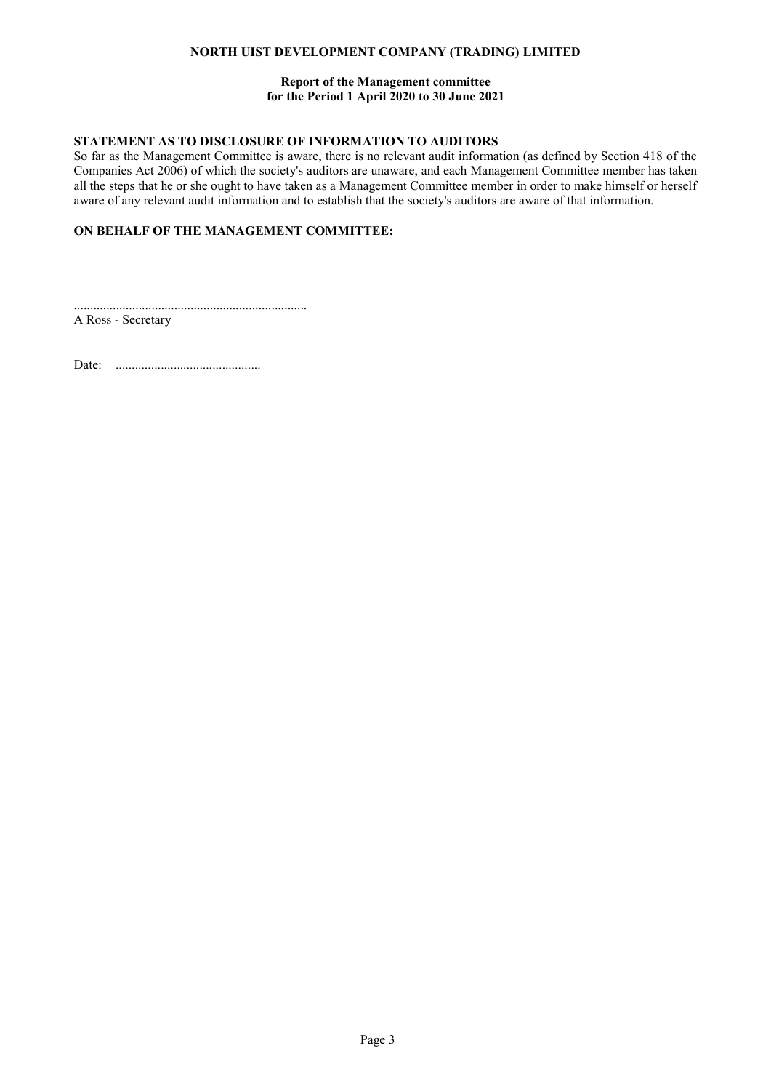## Report of the Management committee for the Period 1 April 2020 to 30 June 2021

# STATEMENT AS TO DISCLOSURE OF INFORMATION TO AUDITORS

So far as the Management Committee is aware, there is no relevant audit information (as defined by Section 418 of the Companies Act 2006) of which the society's auditors are unaware, and each Management Committee member has taken all the steps that he or she ought to have taken as a Management Committee member in order to make himself or herself aware of any relevant audit information and to establish that the society's auditors are aware of that information.

# ON BEHALF OF THE MANAGEMENT COMMITTEE:

........................................................................ A Ross - Secretary

Date: .............................................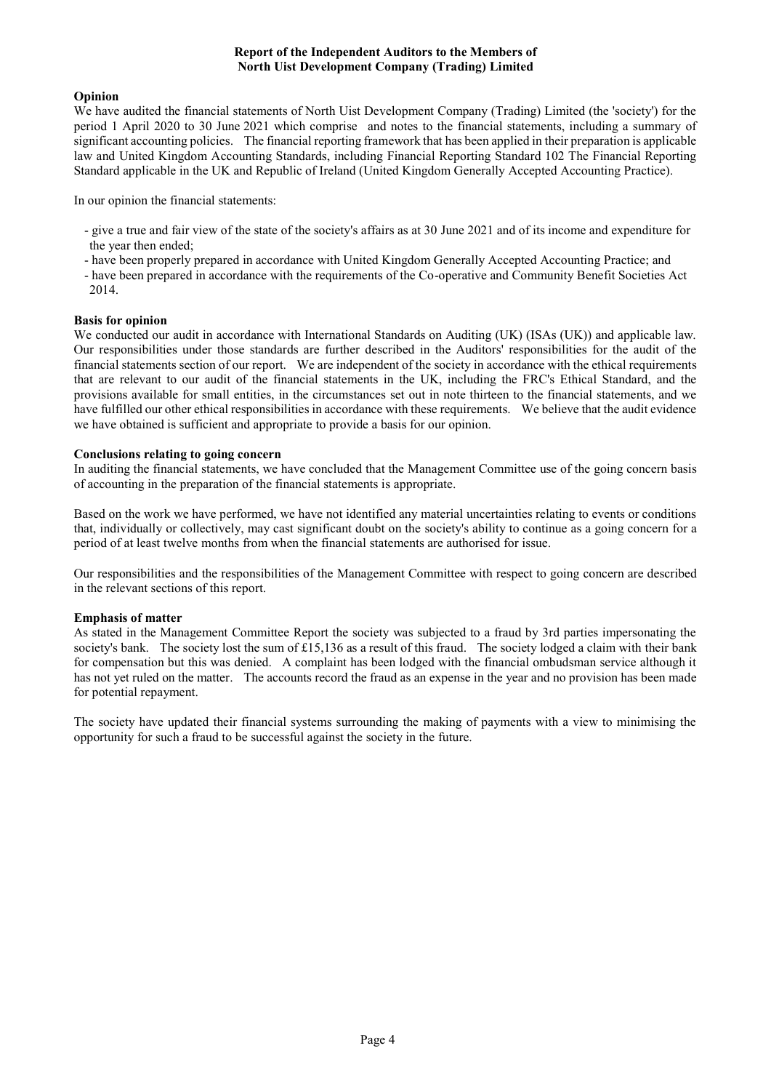## Opinion

We have audited the financial statements of North Uist Development Company (Trading) Limited (the 'society') for the period 1 April 2020 to 30 June 2021 which comprise and notes to the financial statements, including a summary of significant accounting policies. The financial reporting framework that has been applied in their preparation is applicable law and United Kingdom Accounting Standards, including Financial Reporting Standard 102 The Financial Reporting Standard applicable in the UK and Republic of Ireland (United Kingdom Generally Accepted Accounting Practice).

In our opinion the financial statements:

- give a true and fair view of the state of the society's affairs as at 30 June 2021 and of its income and expenditure for the year then ended;
- have been properly prepared in accordance with United Kingdom Generally Accepted Accounting Practice; and
- have been prepared in accordance with the requirements of the Co-operative and Community Benefit Societies Act 2014.

# Basis for opinion

We conducted our audit in accordance with International Standards on Auditing (UK) (ISAs (UK)) and applicable law. Our responsibilities under those standards are further described in the Auditors' responsibilities for the audit of the financial statements section of our report. We are independent of the society in accordance with the ethical requirements that are relevant to our audit of the financial statements in the UK, including the FRC's Ethical Standard, and the provisions available for small entities, in the circumstances set out in note thirteen to the financial statements, and we have fulfilled our other ethical responsibilities in accordance with these requirements. We believe that the audit evidence we have obtained is sufficient and appropriate to provide a basis for our opinion.

## Conclusions relating to going concern

In auditing the financial statements, we have concluded that the Management Committee use of the going concern basis of accounting in the preparation of the financial statements is appropriate.

Based on the work we have performed, we have not identified any material uncertainties relating to events or conditions that, individually or collectively, may cast significant doubt on the society's ability to continue as a going concern for a period of at least twelve months from when the financial statements are authorised for issue.

Our responsibilities and the responsibilities of the Management Committee with respect to going concern are described in the relevant sections of this report.

## Emphasis of matter

As stated in the Management Committee Report the society was subjected to a fraud by 3rd parties impersonating the society's bank. The society lost the sum of £15,136 as a result of this fraud. The society lodged a claim with their bank for compensation but this was denied. A complaint has been lodged with the financial ombudsman service although it has not yet ruled on the matter. The accounts record the fraud as an expense in the year and no provision has been made for potential repayment.

The society have updated their financial systems surrounding the making of payments with a view to minimising the opportunity for such a fraud to be successful against the society in the future.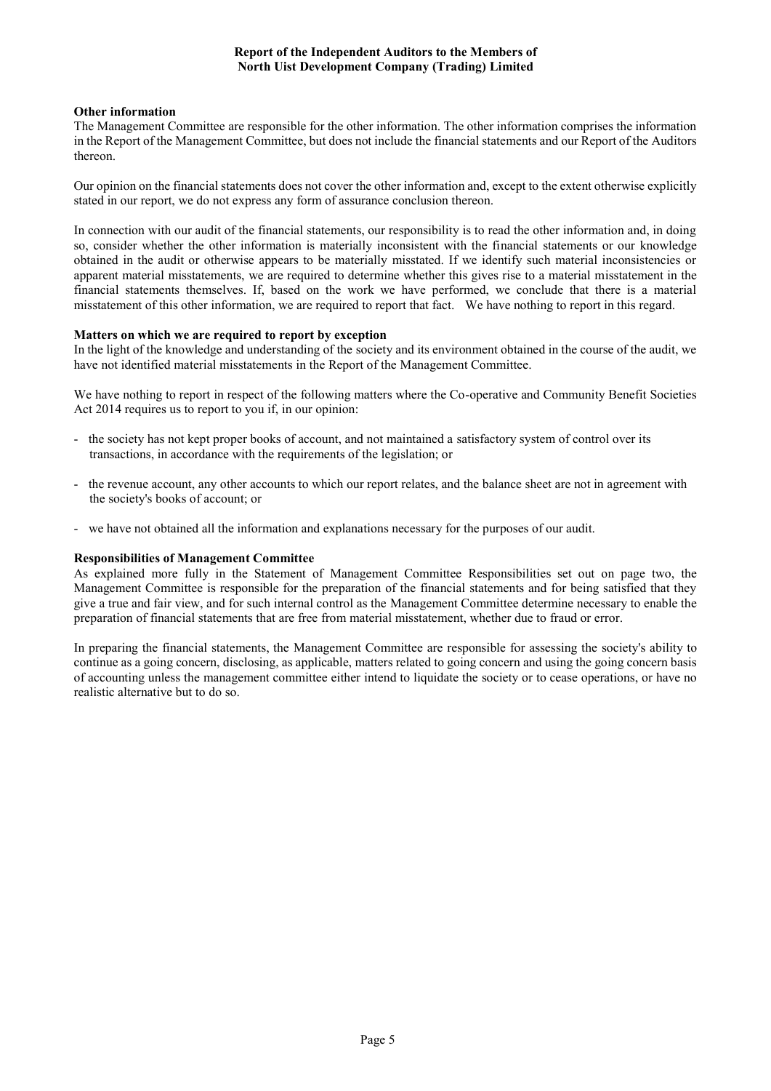## Other information

The Management Committee are responsible for the other information. The other information comprises the information in the Report of the Management Committee, but does not include the financial statements and our Report of the Auditors thereon.

Our opinion on the financial statements does not cover the other information and, except to the extent otherwise explicitly stated in our report, we do not express any form of assurance conclusion thereon.

In connection with our audit of the financial statements, our responsibility is to read the other information and, in doing so, consider whether the other information is materially inconsistent with the financial statements or our knowledge obtained in the audit or otherwise appears to be materially misstated. If we identify such material inconsistencies or apparent material misstatements, we are required to determine whether this gives rise to a material misstatement in the financial statements themselves. If, based on the work we have performed, we conclude that there is a material misstatement of this other information, we are required to report that fact. We have nothing to report in this regard.

#### Matters on which we are required to report by exception

In the light of the knowledge and understanding of the society and its environment obtained in the course of the audit, we have not identified material misstatements in the Report of the Management Committee.

We have nothing to report in respect of the following matters where the Co-operative and Community Benefit Societies Act 2014 requires us to report to you if, in our opinion:

- the society has not kept proper books of account, and not maintained a satisfactory system of control over its transactions, in accordance with the requirements of the legislation; or
- the revenue account, any other accounts to which our report relates, and the balance sheet are not in agreement with the society's books of account; or
- we have not obtained all the information and explanations necessary for the purposes of our audit.

#### Responsibilities of Management Committee

As explained more fully in the Statement of Management Committee Responsibilities set out on page two, the Management Committee is responsible for the preparation of the financial statements and for being satisfied that they give a true and fair view, and for such internal control as the Management Committee determine necessary to enable the preparation of financial statements that are free from material misstatement, whether due to fraud or error.

In preparing the financial statements, the Management Committee are responsible for assessing the society's ability to continue as a going concern, disclosing, as applicable, matters related to going concern and using the going concern basis of accounting unless the management committee either intend to liquidate the society or to cease operations, or have no realistic alternative but to do so.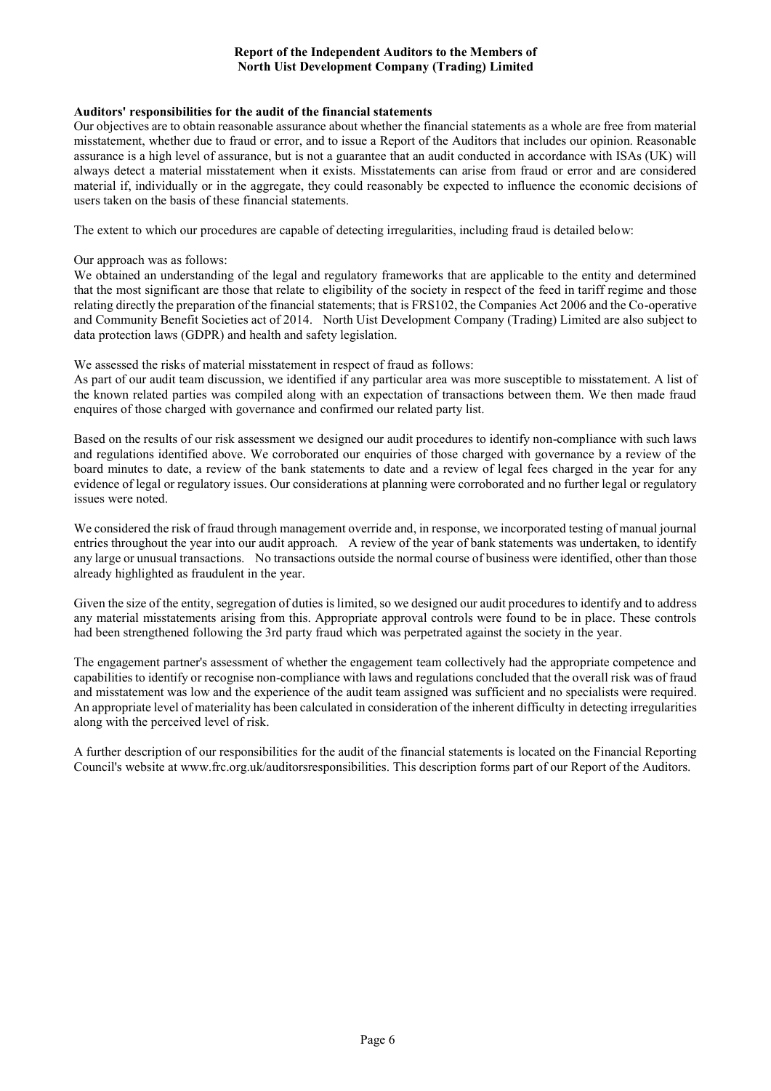#### Auditors' responsibilities for the audit of the financial statements

Our objectives are to obtain reasonable assurance about whether the financial statements as a whole are free from material misstatement, whether due to fraud or error, and to issue a Report of the Auditors that includes our opinion. Reasonable assurance is a high level of assurance, but is not a guarantee that an audit conducted in accordance with ISAs (UK) will always detect a material misstatement when it exists. Misstatements can arise from fraud or error and are considered material if, individually or in the aggregate, they could reasonably be expected to influence the economic decisions of users taken on the basis of these financial statements.

The extent to which our procedures are capable of detecting irregularities, including fraud is detailed below:

Our approach was as follows:

We obtained an understanding of the legal and regulatory frameworks that are applicable to the entity and determined that the most significant are those that relate to eligibility of the society in respect of the feed in tariff regime and those relating directly the preparation of the financial statements; that is FRS102, the Companies Act 2006 and the Co-operative and Community Benefit Societies act of 2014. North Uist Development Company (Trading) Limited are also subject to data protection laws (GDPR) and health and safety legislation.

We assessed the risks of material misstatement in respect of fraud as follows:

As part of our audit team discussion, we identified if any particular area was more susceptible to misstatement. A list of the known related parties was compiled along with an expectation of transactions between them. We then made fraud enquires of those charged with governance and confirmed our related party list.

Based on the results of our risk assessment we designed our audit procedures to identify non-compliance with such laws and regulations identified above. We corroborated our enquiries of those charged with governance by a review of the board minutes to date, a review of the bank statements to date and a review of legal fees charged in the year for any evidence of legal or regulatory issues. Our considerations at planning were corroborated and no further legal or regulatory issues were noted.

We considered the risk of fraud through management override and, in response, we incorporated testing of manual journal entries throughout the year into our audit approach. A review of the year of bank statements was undertaken, to identify any large or unusual transactions. No transactions outside the normal course of business were identified, other than those already highlighted as fraudulent in the year.

Given the size of the entity, segregation of duties is limited, so we designed our audit procedures to identify and to address any material misstatements arising from this. Appropriate approval controls were found to be in place. These controls had been strengthened following the 3rd party fraud which was perpetrated against the society in the year.

The engagement partner's assessment of whether the engagement team collectively had the appropriate competence and capabilities to identify or recognise non-compliance with laws and regulations concluded that the overall risk was of fraud and misstatement was low and the experience of the audit team assigned was sufficient and no specialists were required. An appropriate level of materiality has been calculated in consideration of the inherent difficulty in detecting irregularities along with the perceived level of risk.

A further description of our responsibilities for the audit of the financial statements is located on the Financial Reporting Council's website at www.frc.org.uk/auditorsresponsibilities. This description forms part of our Report of the Auditors.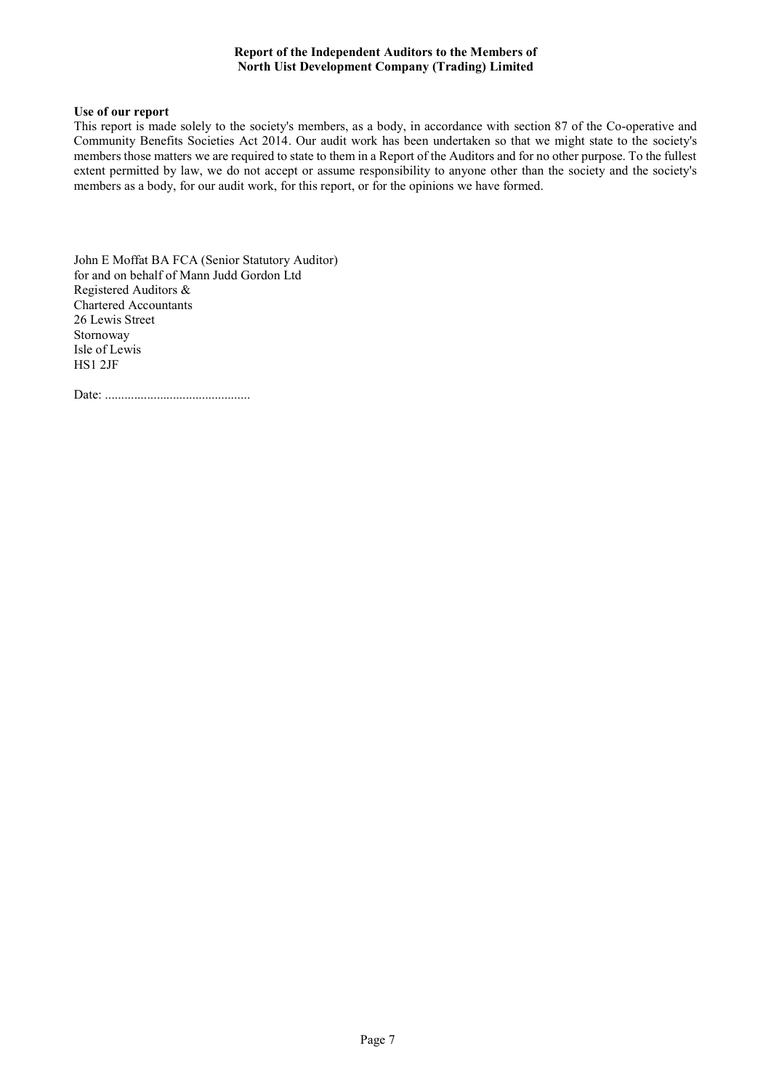#### Use of our report

This report is made solely to the society's members, as a body, in accordance with section 87 of the Co-operative and Community Benefits Societies Act 2014. Our audit work has been undertaken so that we might state to the society's members those matters we are required to state to them in a Report of the Auditors and for no other purpose. To the fullest extent permitted by law, we do not accept or assume responsibility to anyone other than the society and the society's members as a body, for our audit work, for this report, or for the opinions we have formed.

John E Moffat BA FCA (Senior Statutory Auditor) for and on behalf of Mann Judd Gordon Ltd Registered Auditors & Chartered Accountants 26 Lewis Street Stornoway Isle of Lewis HS1 2JF

Date: .............................................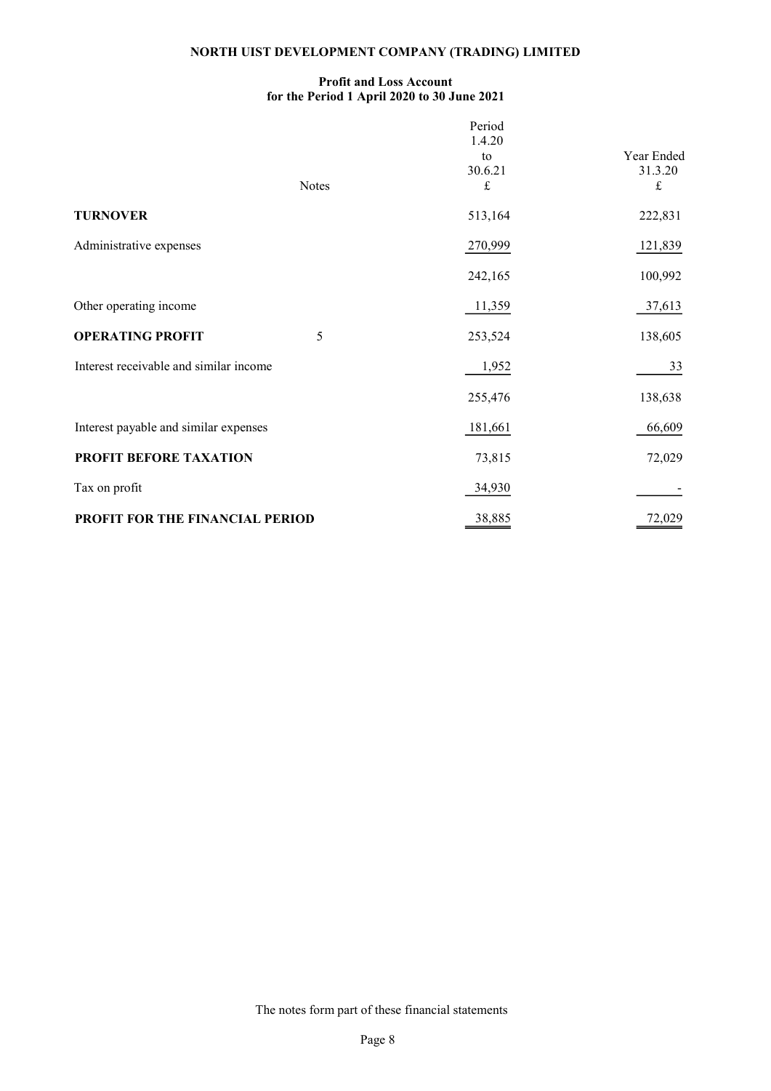## Profit and Loss Account for the Period 1 April 2020 to 30 June 2021

|                                        |              | Period<br>1.4.20<br>to<br>30.6.21 | Year Ended<br>31.3.20 |  |
|----------------------------------------|--------------|-----------------------------------|-----------------------|--|
|                                        | <b>Notes</b> | $\pounds$                         | £                     |  |
| <b>TURNOVER</b>                        |              | 513,164                           | 222,831               |  |
| Administrative expenses                |              | 270,999                           | 121,839               |  |
|                                        |              | 242,165                           | 100,992               |  |
| Other operating income                 |              | 11,359                            | 37,613                |  |
| <b>OPERATING PROFIT</b>                | 5            | 253,524                           | 138,605               |  |
| Interest receivable and similar income |              | 1,952                             | 33                    |  |
|                                        |              | 255,476                           | 138,638               |  |
| Interest payable and similar expenses  |              | 181,661                           | 66,609                |  |
| PROFIT BEFORE TAXATION                 |              | 73,815                            | 72,029                |  |
| Tax on profit                          |              | 34,930                            |                       |  |
| PROFIT FOR THE FINANCIAL PERIOD        |              | 38,885                            | 72,029                |  |

The notes form part of these financial statements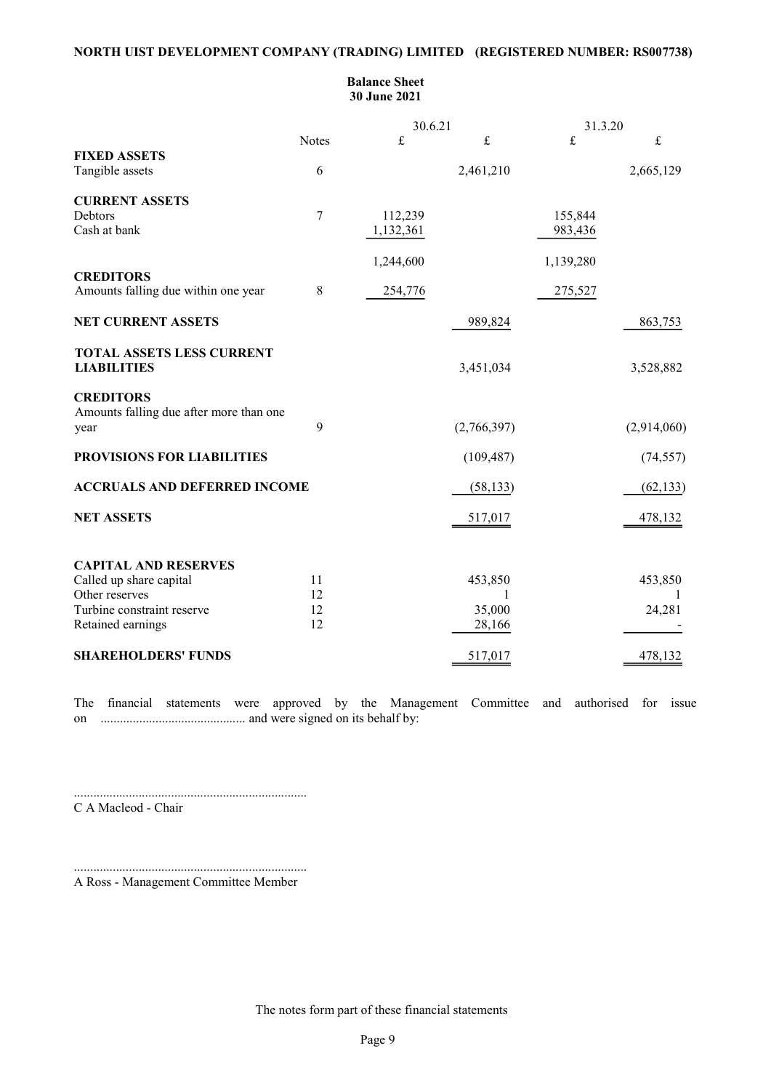Balance Sheet

|                                                         |              | 30 June 2021 |             |           |             |
|---------------------------------------------------------|--------------|--------------|-------------|-----------|-------------|
|                                                         |              | 30.6.21      |             | 31.3.20   |             |
|                                                         | <b>Notes</b> | $\pounds$    | $\mathbf f$ | $\pounds$ | $\pounds$   |
| <b>FIXED ASSETS</b>                                     |              |              |             |           |             |
| Tangible assets                                         | 6            |              | 2,461,210   |           | 2,665,129   |
| <b>CURRENT ASSETS</b>                                   |              |              |             |           |             |
| Debtors                                                 | 7            | 112,239      |             | 155,844   |             |
| Cash at bank                                            |              | 1,132,361    |             | 983,436   |             |
|                                                         |              |              |             |           |             |
|                                                         |              | 1,244,600    |             | 1,139,280 |             |
| <b>CREDITORS</b><br>Amounts falling due within one year | $8\,$        | 254,776      |             | 275,527   |             |
|                                                         |              |              |             |           |             |
| NET CURRENT ASSETS                                      |              |              | 989,824     |           | 863,753     |
|                                                         |              |              |             |           |             |
| TOTAL ASSETS LESS CURRENT                               |              |              |             |           |             |
| <b>LIABILITIES</b>                                      |              |              | 3,451,034   |           | 3,528,882   |
| <b>CREDITORS</b>                                        |              |              |             |           |             |
| Amounts falling due after more than one                 |              |              |             |           |             |
| year                                                    | 9            |              | (2,766,397) |           | (2,914,060) |
|                                                         |              |              |             |           |             |
| PROVISIONS FOR LIABILITIES                              |              |              | (109, 487)  |           | (74, 557)   |
| <b>ACCRUALS AND DEFERRED INCOME</b>                     |              |              | (58, 133)   |           | (62, 133)   |
|                                                         |              |              |             |           |             |
| <b>NET ASSETS</b>                                       |              |              | 517,017     |           | 478,132     |
|                                                         |              |              |             |           |             |
| <b>CAPITAL AND RESERVES</b>                             |              |              |             |           |             |
| Called up share capital                                 | 11           |              | 453,850     |           | 453,850     |
| Other reserves                                          | 12           |              |             |           |             |
| Turbine constraint reserve                              | 12           |              | 35,000      |           | 24,281      |
| Retained earnings                                       | 12           |              | 28,166      |           |             |
|                                                         |              |              |             |           |             |
| <b>SHAREHOLDERS' FUNDS</b>                              |              |              | 517,017     |           | 478,132     |

The financial statements were approved by the Management Committee and authorised for issue on ............................................. and were signed on its behalf by:

........................................................................ C A Macleod - Chair

........................................................................ A Ross - Management Committee Member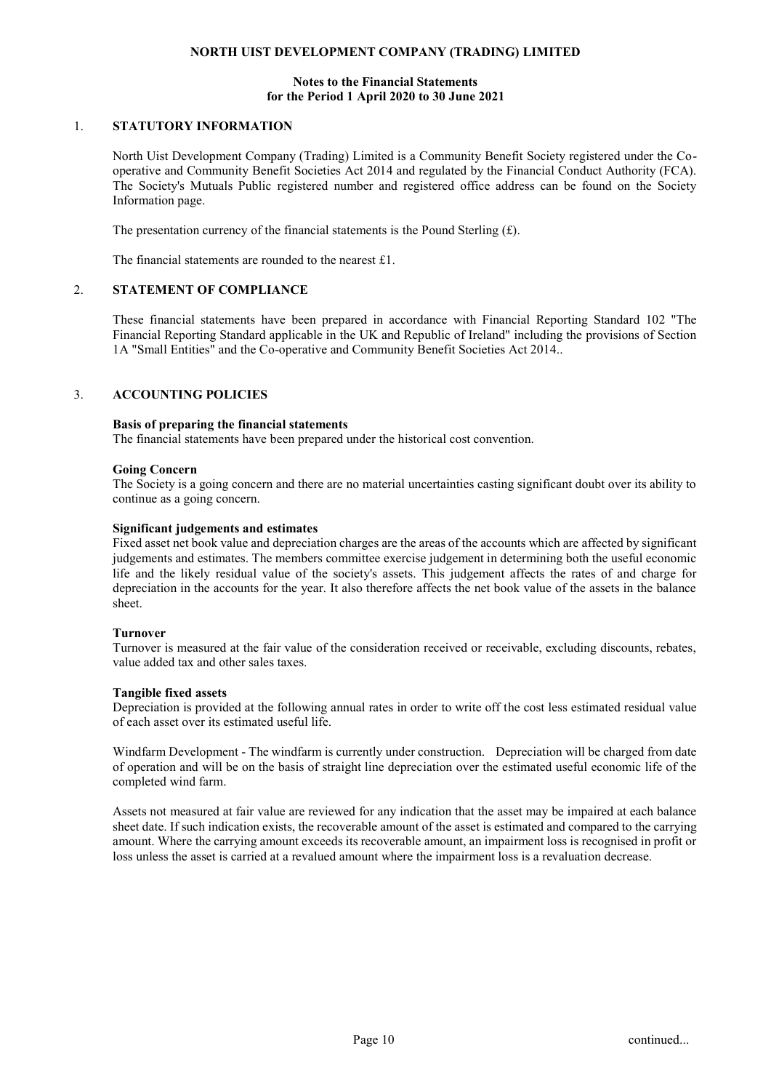## Notes to the Financial Statements for the Period 1 April 2020 to 30 June 2021

# 1. STATUTORY INFORMATION

North Uist Development Company (Trading) Limited is a Community Benefit Society registered under the Cooperative and Community Benefit Societies Act 2014 and regulated by the Financial Conduct Authority (FCA). The Society's Mutuals Public registered number and registered office address can be found on the Society Information page.

The presentation currency of the financial statements is the Pound Sterling  $(f)$ .

The financial statements are rounded to the nearest £1.

#### 2. STATEMENT OF COMPLIANCE

These financial statements have been prepared in accordance with Financial Reporting Standard 102 "The Financial Reporting Standard applicable in the UK and Republic of Ireland" including the provisions of Section 1A "Small Entities" and the Co-operative and Community Benefit Societies Act 2014..

## 3. ACCOUNTING POLICIES

#### Basis of preparing the financial statements

The financial statements have been prepared under the historical cost convention.

#### Going Concern

The Society is a going concern and there are no material uncertainties casting significant doubt over its ability to continue as a going concern.

#### Significant judgements and estimates

Fixed asset net book value and depreciation charges are the areas of the accounts which are affected by significant judgements and estimates. The members committee exercise judgement in determining both the useful economic life and the likely residual value of the society's assets. This judgement affects the rates of and charge for depreciation in the accounts for the year. It also therefore affects the net book value of the assets in the balance sheet.

#### Turnover

Turnover is measured at the fair value of the consideration received or receivable, excluding discounts, rebates, value added tax and other sales taxes.

#### Tangible fixed assets

Depreciation is provided at the following annual rates in order to write off the cost less estimated residual value of each asset over its estimated useful life.

Windfarm Development - The windfarm is currently under construction. Depreciation will be charged from date of operation and will be on the basis of straight line depreciation over the estimated useful economic life of the completed wind farm.

Assets not measured at fair value are reviewed for any indication that the asset may be impaired at each balance sheet date. If such indication exists, the recoverable amount of the asset is estimated and compared to the carrying amount. Where the carrying amount exceeds its recoverable amount, an impairment loss is recognised in profit or loss unless the asset is carried at a revalued amount where the impairment loss is a revaluation decrease.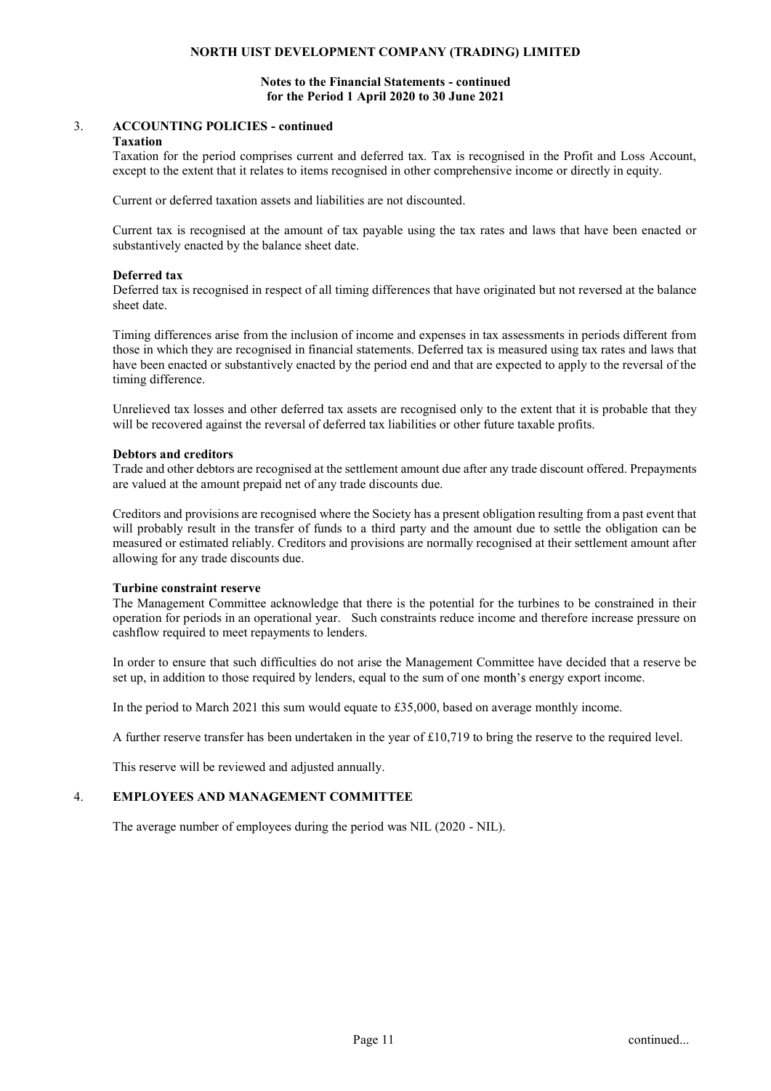#### Notes to the Financial Statements - continued for the Period 1 April 2020 to 30 June 2021

# 3. ACCOUNTING POLICIES - continued

Taxation

Taxation for the period comprises current and deferred tax. Tax is recognised in the Profit and Loss Account, except to the extent that it relates to items recognised in other comprehensive income or directly in equity.

Current or deferred taxation assets and liabilities are not discounted.

Current tax is recognised at the amount of tax payable using the tax rates and laws that have been enacted or substantively enacted by the balance sheet date.

#### Deferred tax

Deferred tax is recognised in respect of all timing differences that have originated but not reversed at the balance sheet date.

Timing differences arise from the inclusion of income and expenses in tax assessments in periods different from those in which they are recognised in financial statements. Deferred tax is measured using tax rates and laws that have been enacted or substantively enacted by the period end and that are expected to apply to the reversal of the timing difference.

Unrelieved tax losses and other deferred tax assets are recognised only to the extent that it is probable that they will be recovered against the reversal of deferred tax liabilities or other future taxable profits.

#### Debtors and creditors

Trade and other debtors are recognised at the settlement amount due after any trade discount offered. Prepayments are valued at the amount prepaid net of any trade discounts due.

Creditors and provisions are recognised where the Society has a present obligation resulting from a past event that will probably result in the transfer of funds to a third party and the amount due to settle the obligation can be measured or estimated reliably. Creditors and provisions are normally recognised at their settlement amount after allowing for any trade discounts due.

#### Turbine constraint reserve

The Management Committee acknowledge that there is the potential for the turbines to be constrained in their operation for periods in an operational year. Such constraints reduce income and therefore increase pressure on cashflow required to meet repayments to lenders.

In order to ensure that such difficulties do not arise the Management Committee have decided that a reserve be set up, in addition to those required by lenders, equal to the sum of one month's energy export income.

In the period to March 2021 this sum would equate to £35,000, based on average monthly income.

A further reserve transfer has been undertaken in the year of £10,719 to bring the reserve to the required level.

This reserve will be reviewed and adjusted annually.

## 4. EMPLOYEES AND MANAGEMENT COMMITTEE

The average number of employees during the period was NIL (2020 - NIL).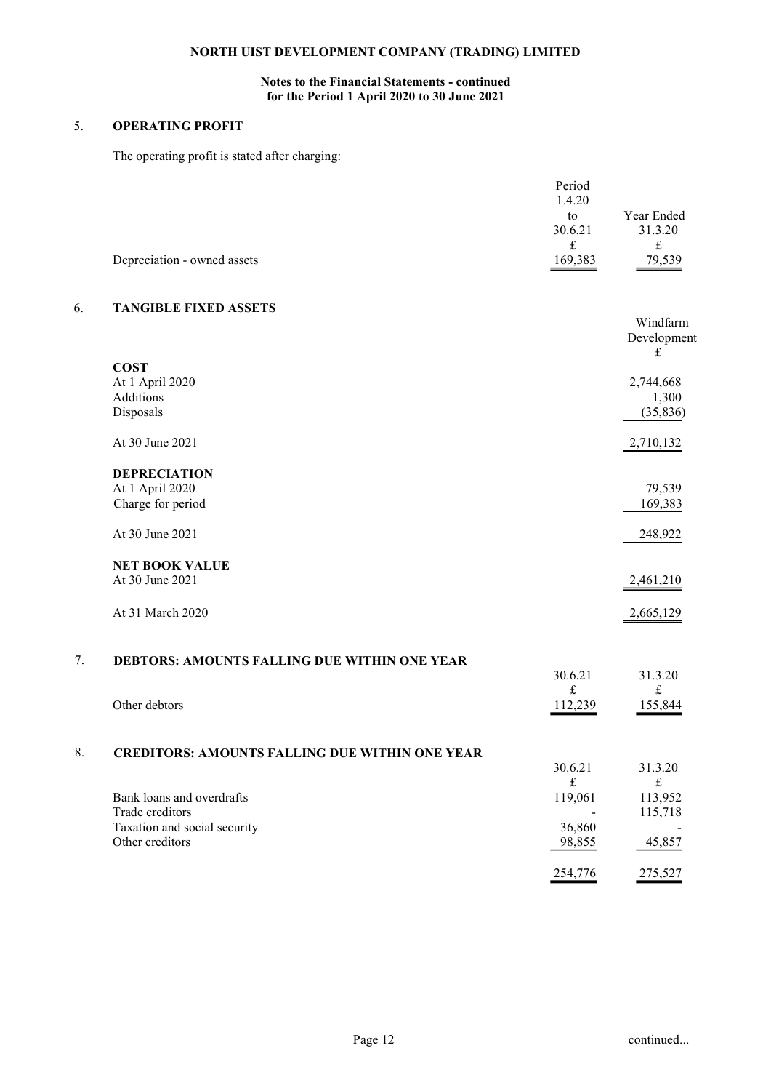## Notes to the Financial Statements - continued for the Period 1 April 2020 to 30 June 2021

# 5. OPERATING PROFIT

The operating profit is stated after charging:

|    |                                                       | Period<br>1.4.20<br>to<br>30.6.21<br>$\pounds$ | Year Ended<br>31.3.20<br>$\mathbf f$ |
|----|-------------------------------------------------------|------------------------------------------------|--------------------------------------|
|    | Depreciation - owned assets                           | 169,383                                        | 79,539                               |
| 6. | <b>TANGIBLE FIXED ASSETS</b>                          |                                                | Windfarm                             |
|    |                                                       |                                                | Development<br>£                     |
|    | <b>COST</b>                                           |                                                |                                      |
|    | At 1 April 2020                                       |                                                | 2,744,668                            |
|    | Additions                                             |                                                | 1,300                                |
|    | Disposals                                             |                                                | (35, 836)                            |
|    | At 30 June 2021                                       |                                                | 2,710,132                            |
|    | <b>DEPRECIATION</b>                                   |                                                |                                      |
|    | At 1 April 2020                                       |                                                | 79,539                               |
|    | Charge for period                                     |                                                | 169,383                              |
|    | At 30 June 2021                                       |                                                | 248,922                              |
|    | <b>NET BOOK VALUE</b>                                 |                                                |                                      |
|    | At 30 June 2021                                       |                                                | 2,461,210                            |
|    | At 31 March 2020                                      |                                                | 2,665,129                            |
| 7. | DEBTORS: AMOUNTS FALLING DUE WITHIN ONE YEAR          |                                                |                                      |
|    |                                                       | 30.6.21                                        | 31.3.20                              |
|    | Other debtors                                         | $\mathbf f$                                    | $\ensuremath{\mathbf{f}}$<br>155,844 |
|    |                                                       | 112,239                                        |                                      |
| 8. | <b>CREDITORS: AMOUNTS FALLING DUE WITHIN ONE YEAR</b> |                                                |                                      |
|    |                                                       | 30.6.21<br>$\mathbf f$                         | 31.3.20<br>$\ensuremath{\mathbf{f}}$ |
|    | Bank loans and overdrafts                             | 119,061                                        | 113,952                              |
|    | Trade creditors                                       |                                                | 115,718                              |
|    | Taxation and social security                          | 36,860                                         |                                      |
|    | Other creditors                                       | 98,855                                         | 45,857                               |
|    |                                                       | 254,776                                        | 275,527                              |
|    |                                                       |                                                |                                      |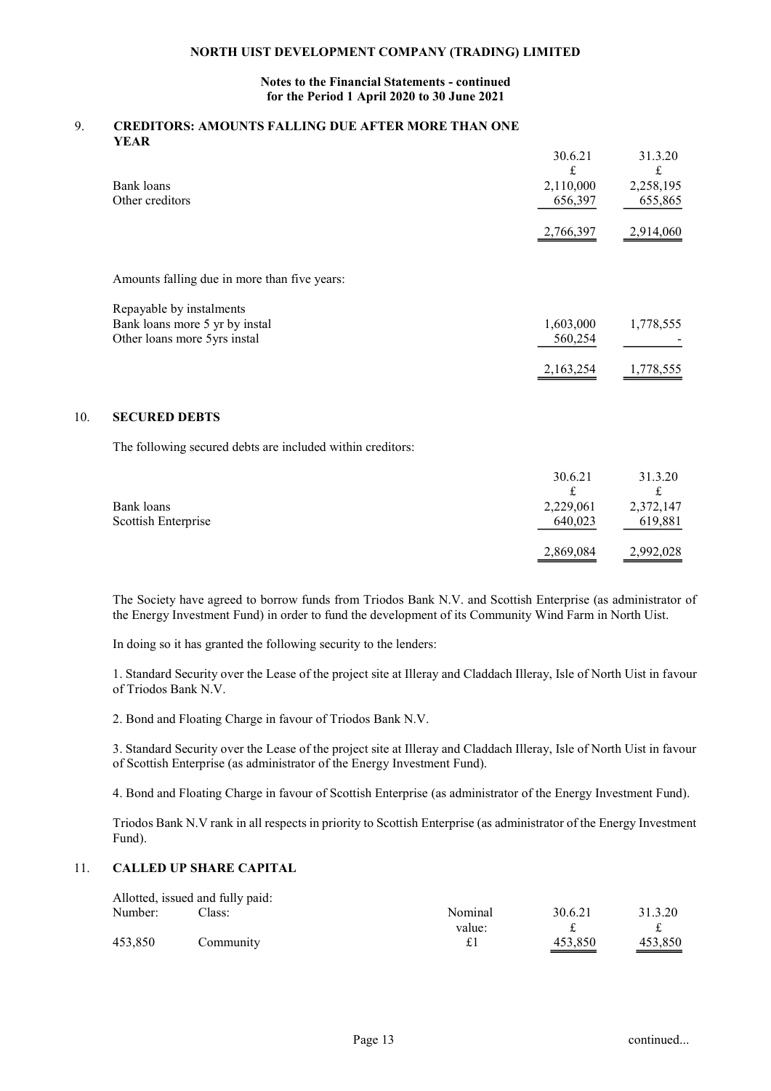#### Notes to the Financial Statements - continued for the Period 1 April 2020 to 30 June 2021

# 9. CREDITORS: AMOUNTS FALLING DUE AFTER MORE THAN ONE YEAR

|     | Bank loans<br>Other creditors                              | 30.6.21<br>$\pounds$<br>2,110,000<br>656,397<br>2,766,397 | 31.3.20<br>$\pounds$<br>2,258,195<br>655,865<br>2,914,060 |  |
|-----|------------------------------------------------------------|-----------------------------------------------------------|-----------------------------------------------------------|--|
|     | Amounts falling due in more than five years:               |                                                           |                                                           |  |
|     | Repayable by instalments                                   |                                                           |                                                           |  |
|     | Bank loans more 5 yr by instal                             | 1,603,000                                                 | 1,778,555                                                 |  |
|     | Other loans more 5yrs instal                               | 560,254                                                   |                                                           |  |
|     |                                                            | 2,163,254                                                 | 1,778,555                                                 |  |
| 10. | <b>SECURED DEBTS</b>                                       |                                                           |                                                           |  |
|     | The following secured debts are included within creditors: |                                                           |                                                           |  |
|     |                                                            | 30.6.21                                                   | 31.3.20                                                   |  |
|     |                                                            | $\mathbf f$                                               | $\pounds$                                                 |  |
|     | Bank loans                                                 | 2,229,061                                                 | 2,372,147                                                 |  |
|     | Scottish Enterprise                                        | 640,023                                                   | 619,881                                                   |  |

The Society have agreed to borrow funds from Triodos Bank N.V. and Scottish Enterprise (as administrator of the Energy Investment Fund) in order to fund the development of its Community Wind Farm in North Uist.

2,869,084 2,992,028

In doing so it has granted the following security to the lenders:

1. Standard Security over the Lease of the project site at Illeray and Claddach Illeray, Isle of North Uist in favour of Triodos Bank N.V.

2. Bond and Floating Charge in favour of Triodos Bank N.V.

3. Standard Security over the Lease of the project site at Illeray and Claddach Illeray, Isle of North Uist in favour of Scottish Enterprise (as administrator of the Energy Investment Fund).

4. Bond and Floating Charge in favour of Scottish Enterprise (as administrator of the Energy Investment Fund).

Triodos Bank N.V rank in all respects in priority to Scottish Enterprise (as administrator of the Energy Investment Fund).

## 11. CALLED UP SHARE CAPITAL

|         | Allotted, issued and fully paid: |         |         |                          |  |
|---------|----------------------------------|---------|---------|--------------------------|--|
| Number: | $\text{Class:}$                  | Nominal | 30.6.21 | 31.3.20                  |  |
|         |                                  | value:  |         |                          |  |
| 453,850 | Community                        | o t     | 453,850 | 453,850                  |  |
|         |                                  |         |         | $\overline{\phantom{a}}$ |  |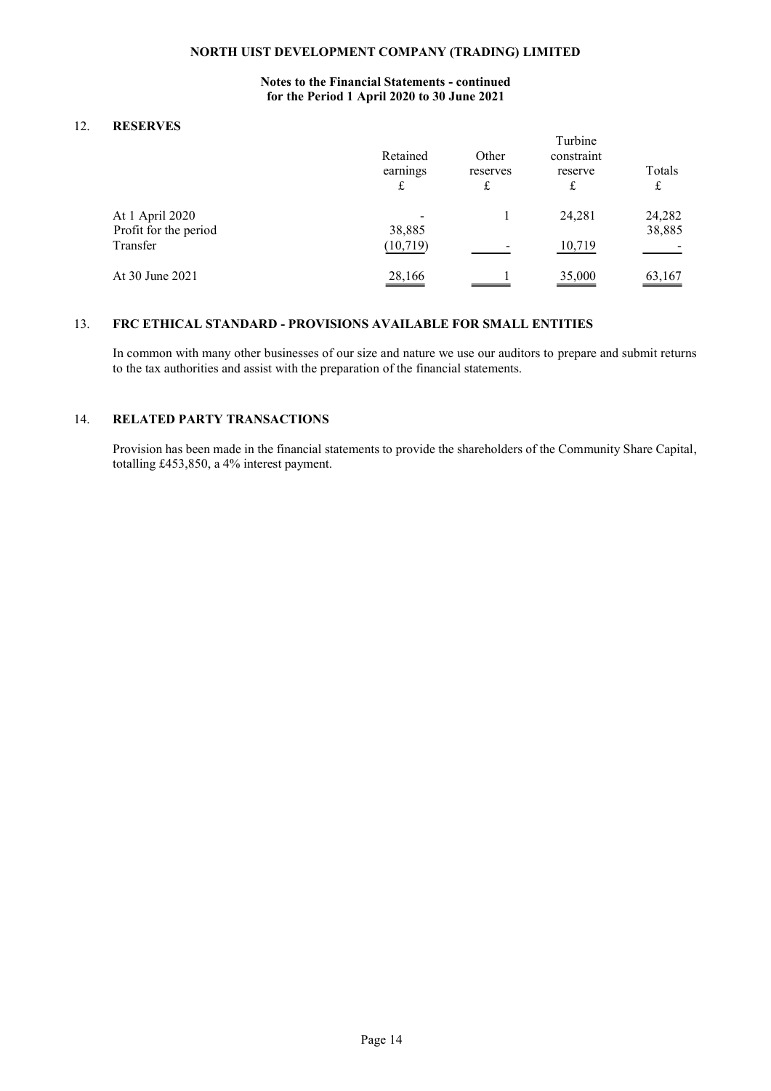#### Notes to the Financial Statements - continued for the Period 1 April 2020 to 30 June 2021

# 12. RESERVES

|                       | Retained<br>earnings | Turbine<br>constraint<br>reserve | Totals             |                    |  |
|-----------------------|----------------------|----------------------------------|--------------------|--------------------|--|
|                       | £                    | reserves<br>£                    | t.                 | t                  |  |
| At 1 April 2020       |                      |                                  | 24,281             | 24,282             |  |
| Profit for the period | 38,885               |                                  |                    | 38,885             |  |
| Transfer              | (10, 719)            |                                  | 10,719             |                    |  |
| At 30 June 2021       | $\frac{28,166}{2}$   |                                  | $\frac{35,000}{2}$ | $\frac{63,167}{2}$ |  |

# 13. FRC ETHICAL STANDARD - PROVISIONS AVAILABLE FOR SMALL ENTITIES

In common with many other businesses of our size and nature we use our auditors to prepare and submit returns to the tax authorities and assist with the preparation of the financial statements.

# 14. RELATED PARTY TRANSACTIONS

Provision has been made in the financial statements to provide the shareholders of the Community Share Capital, totalling £453,850, a 4% interest payment.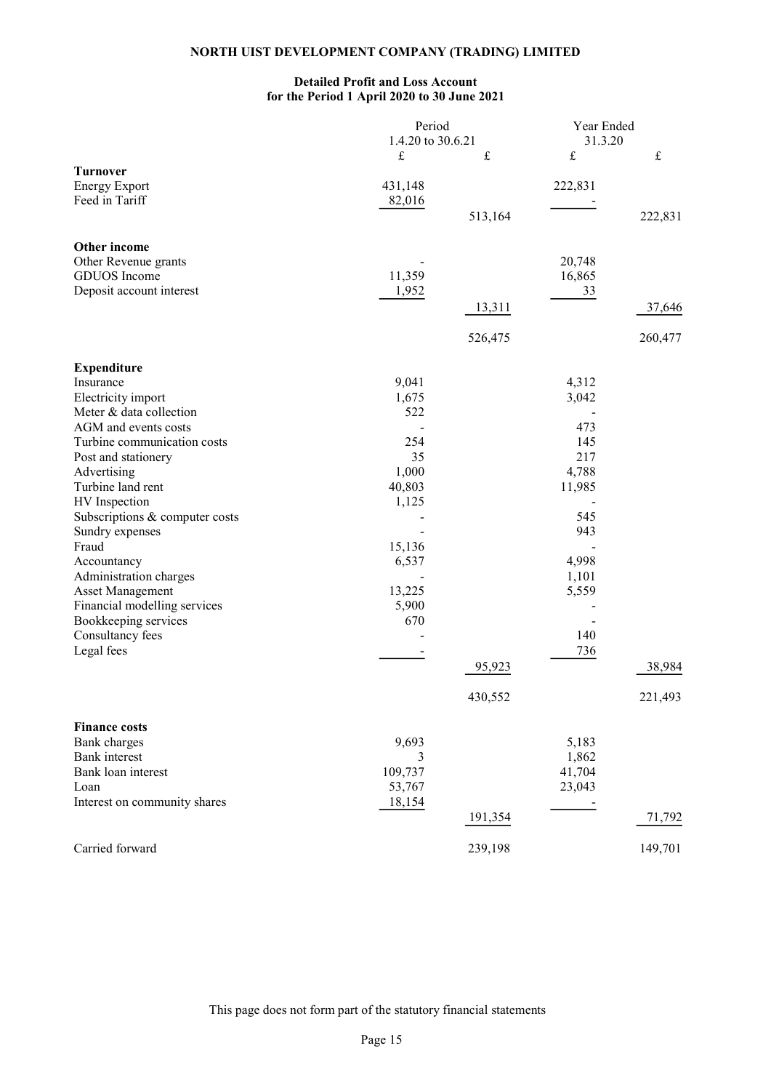## Detailed Profit and Loss Account for the Period 1 April 2020 to 30 June 2021

|                                      | Period            |           | Year Ended |             |
|--------------------------------------|-------------------|-----------|------------|-------------|
|                                      | 1.4.20 to 30.6.21 |           | 31.3.20    |             |
|                                      | $\pounds$         | $\pounds$ | $\pounds$  | $\mathbf f$ |
| <b>Turnover</b>                      |                   |           |            |             |
| <b>Energy Export</b>                 | 431,148           |           | 222,831    |             |
| Feed in Tariff                       | 82,016            |           |            |             |
|                                      |                   | 513,164   |            | 222,831     |
| Other income                         |                   |           |            |             |
| Other Revenue grants                 |                   |           | 20,748     |             |
| <b>GDUOS</b> Income                  | 11,359            |           | 16,865     |             |
| Deposit account interest             | 1,952             |           | 33         |             |
|                                      |                   |           |            |             |
|                                      |                   | 13,311    |            | 37,646      |
|                                      |                   | 526,475   |            | 260,477     |
|                                      |                   |           |            |             |
| <b>Expenditure</b>                   |                   |           |            |             |
| Insurance                            | 9,041             |           | 4,312      |             |
| Electricity import                   | 1,675             |           | 3,042      |             |
| Meter & data collection              | 522               |           |            |             |
| AGM and events costs                 |                   |           | 473        |             |
| Turbine communication costs          | 254               |           | 145        |             |
| Post and stationery                  | 35                |           | 217        |             |
| Advertising                          | 1,000             |           | 4,788      |             |
| Turbine land rent                    | 40,803            |           | 11,985     |             |
| HV Inspection                        | 1,125             |           |            |             |
| Subscriptions & computer costs       | $\overline{a}$    |           | 545        |             |
| Sundry expenses                      |                   |           | 943        |             |
| Fraud                                | 15,136            |           |            |             |
| Accountancy                          | 6,537             |           | 4,998      |             |
| Administration charges               |                   |           | 1,101      |             |
| Asset Management                     | 13,225            |           | 5,559      |             |
| Financial modelling services         | 5,900             |           |            |             |
| Bookkeeping services                 | 670               |           |            |             |
| Consultancy fees                     |                   |           | 140        |             |
| Legal fees                           |                   |           | 736        |             |
|                                      |                   | 95,923    |            | 38,984      |
|                                      |                   | 430,552   |            | 221,493     |
|                                      |                   |           |            |             |
| <b>Finance costs</b><br>Bank charges | 9,693             |           | 5,183      |             |
| Bank interest                        |                   |           | 1,862      |             |
|                                      | 3                 |           |            |             |
| Bank loan interest                   | 109,737           |           | 41,704     |             |
| Loan                                 | 53,767            |           | 23,043     |             |
| Interest on community shares         | 18,154            |           |            |             |
|                                      |                   | 191,354   |            | 71,792      |
| Carried forward                      |                   | 239,198   |            | 149,701     |

This page does not form part of the statutory financial statements